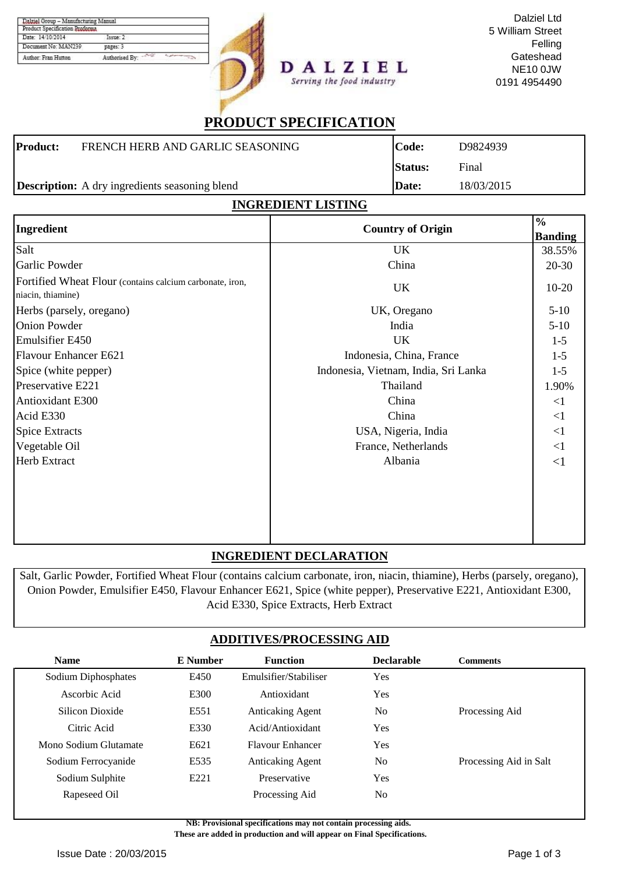| Product Specification Proforma |                |
|--------------------------------|----------------|
| Date: 14/10/2014               | Takmer 2       |
| Document No: MAN239            | pages: 3       |
| Author: Fran Hutton            | Authorised By: |

DALZIEL Serving the food industry

Dalziel Ltd 5 William Street Felling **Gateshead** NE10 0JW 0191 4954490

# **PRODUCT SPECIFICATION**

| <b>Product:</b> | FRENCH HERB AND GARLIC SEASONING                      | Code:          | D9824939   |
|-----------------|-------------------------------------------------------|----------------|------------|
|                 |                                                       | <b>Status:</b> | Final      |
|                 | <b>Description:</b> A dry ingredients seasoning blend | Date:          | 18/03/2015 |

### **INGREDIENT LISTING**

| Ingredient                                                                    | <b>Country of Origin</b>             | $\frac{6}{6}$  |
|-------------------------------------------------------------------------------|--------------------------------------|----------------|
|                                                                               |                                      | <b>Banding</b> |
| Salt                                                                          | UK                                   | 38.55%         |
| Garlic Powder                                                                 | China                                | 20-30          |
| Fortified Wheat Flour (contains calcium carbonate, iron,<br>niacin, thiamine) | UK                                   | $10-20$        |
| Herbs (parsely, oregano)                                                      | UK, Oregano                          | $5-10$         |
| <b>Onion Powder</b>                                                           | India                                | $5-10$         |
| <b>Emulsifier E450</b>                                                        | <b>UK</b>                            | $1 - 5$        |
| Flavour Enhancer E621                                                         | Indonesia, China, France             | $1-5$          |
| Spice (white pepper)                                                          | Indonesia, Vietnam, India, Sri Lanka | $1-5$          |
| Preservative E221                                                             | Thailand                             | 1.90%          |
| Antioxidant E300                                                              | China                                | <1             |
| Acid E330                                                                     | China                                | <1             |
| <b>Spice Extracts</b>                                                         | USA, Nigeria, India                  | $\leq$ 1       |
| Vegetable Oil                                                                 | France, Netherlands                  | <1             |
| <b>Herb Extract</b>                                                           | Albania                              | $\leq$ 1       |
|                                                                               |                                      |                |
|                                                                               |                                      |                |
|                                                                               |                                      |                |
|                                                                               |                                      |                |
|                                                                               |                                      |                |

### **INGREDIENT DECLARATION**

Salt, Garlic Powder, Fortified Wheat Flour (contains calcium carbonate, iron, niacin, thiamine), Herbs (parsely, oregano), Onion Powder, Emulsifier E450, Flavour Enhancer E621, Spice (white pepper), Preservative E221, Antioxidant E300, Acid E330, Spice Extracts, Herb Extract

## **ADDITIVES/PROCESSING AID**

| <b>Name</b>           | <b>E</b> Number | <b>Function</b>         | <b>Declarable</b> | <b>Comments</b>        |
|-----------------------|-----------------|-------------------------|-------------------|------------------------|
| Sodium Diphosphates   | E450            | Emulsifier/Stabiliser   | Yes               |                        |
| Ascorbic Acid         | E300            | Antioxidant             | Yes               |                        |
| Silicon Dioxide       | E551            | <b>Anticaking Agent</b> | N <sub>0</sub>    | Processing Aid         |
| Citric Acid           | E330            | Acid/Antioxidant        | Yes               |                        |
| Mono Sodium Glutamate | E621            | <b>Flavour Enhancer</b> | Yes               |                        |
| Sodium Ferrocyanide   | E535            | <b>Anticaking Agent</b> | N <sub>0</sub>    | Processing Aid in Salt |
| Sodium Sulphite       | E221            | Preservative            | Yes               |                        |
| Rapeseed Oil          |                 | Processing Aid          | N <sub>o</sub>    |                        |

**NB: Provisional specifications may not contain processing aids.** 

 **These are added in production and will appear on Final Specifications.**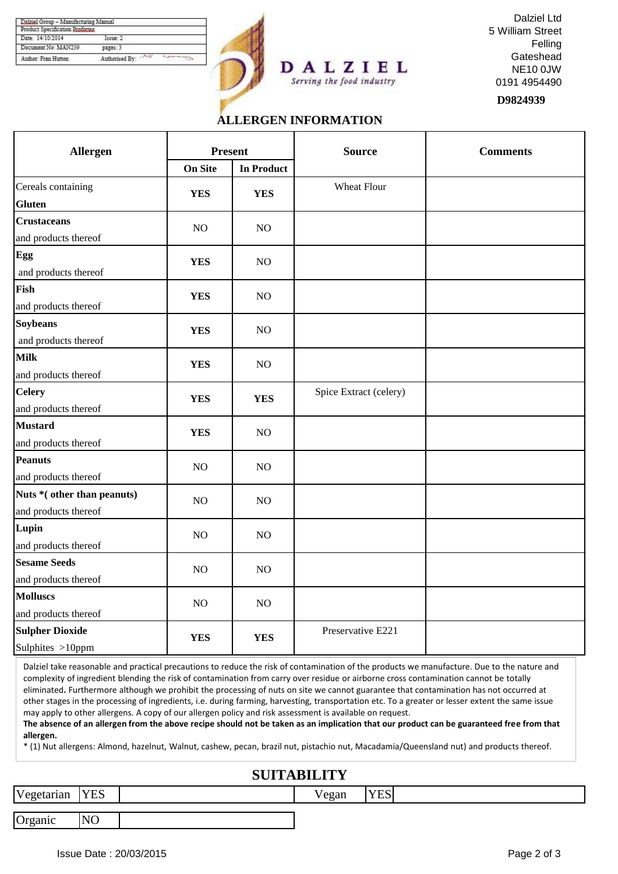| Product Specification Proforma |                |  |
|--------------------------------|----------------|--|
| Date: 14/10/2014               | Textter 2      |  |
| Document No: MAN239            | pages: 3       |  |
| Author: Fran Hutton            | Authorised By: |  |





**D9824939**

### **ALLERGEN INFORMATION**

Serving the food industry

| Allergen                                           | <b>Present</b> |                   | <b>Source</b>          | <b>Comments</b> |
|----------------------------------------------------|----------------|-------------------|------------------------|-----------------|
|                                                    | <b>On Site</b> | <b>In Product</b> |                        |                 |
| Cereals containing<br><b>Gluten</b>                | <b>YES</b>     | <b>YES</b>        | Wheat Flour            |                 |
| <b>Crustaceans</b><br>and products thereof         | NO             | NO                |                        |                 |
| Egg<br>and products thereof                        | <b>YES</b>     | NO                |                        |                 |
| Fish<br>and products thereof                       | <b>YES</b>     | NO                |                        |                 |
| <b>Soybeans</b><br>and products thereof            | <b>YES</b>     | NO                |                        |                 |
| <b>Milk</b><br>and products thereof                | <b>YES</b>     | NO                |                        |                 |
| <b>Celery</b><br>and products thereof              | <b>YES</b>     | <b>YES</b>        | Spice Extract (celery) |                 |
| <b>Mustard</b><br>and products thereof             | <b>YES</b>     | NO                |                        |                 |
| Peanuts<br>and products thereof                    | NO             | NO                |                        |                 |
| Nuts *(other than peanuts)<br>and products thereof | NO             | NO                |                        |                 |
| Lupin<br>and products thereof                      | NO             | NO                |                        |                 |
| <b>Sesame Seeds</b><br>and products thereof        | NO             | NO                |                        |                 |
| <b>Molluscs</b><br>and products thereof            | NO             | NO                |                        |                 |
| <b>Sulpher Dioxide</b><br>Sulphites >10ppm         | <b>YES</b>     | <b>YES</b>        | Preservative E221      |                 |

Dalziel take reasonable and practical precautions to reduce the risk of contamination of the products we manufacture. Due to the nature and complexity of ingredient blending the risk of contamination from carry over residue or airborne cross contamination cannot be totally eliminated**.** Furthermore although we prohibit the processing of nuts on site we cannot guarantee that contamination has not occurred at other stages in the processing of ingredients, i.e. during farming, harvesting, transportation etc. To a greater or lesser extent the same issue may apply to other allergens. A copy of our allergen policy and risk assessment is available on request.

**The absence of an allergen from the above recipe should not be taken as an implication that our product can be guaranteed free from that allergen.**

\* (1) Nut allergens: Almond, hazelnut, Walnut, cashew, pecan, brazil nut, pistachio nut, Macadamia/Queensland nut) and products thereof.

## **SUITABILITY**

Vegetarian YES 7

Organic NO

Vegan